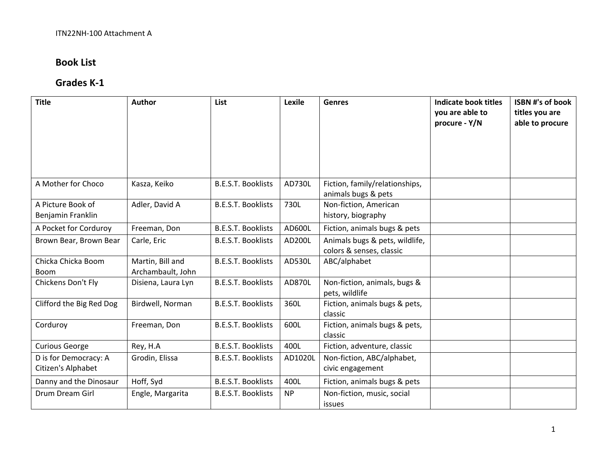## **Book List**

### **Grades K‐1**

| <b>Title</b>                                | Author                                | List                      | Lexile    | <b>Genres</b>                                              | <b>Indicate book titles</b><br>you are able to<br>procure - Y/N | <b>ISBN #'s of book</b><br>titles you are<br>able to procure |
|---------------------------------------------|---------------------------------------|---------------------------|-----------|------------------------------------------------------------|-----------------------------------------------------------------|--------------------------------------------------------------|
| A Mother for Choco                          | Kasza, Keiko                          | <b>B.E.S.T. Booklists</b> | AD730L    | Fiction, family/relationships,<br>animals bugs & pets      |                                                                 |                                                              |
| A Picture Book of<br>Benjamin Franklin      | Adler, David A                        | <b>B.E.S.T. Booklists</b> | 730L      | Non-fiction, American<br>history, biography                |                                                                 |                                                              |
| A Pocket for Corduroy                       | Freeman, Don                          | <b>B.E.S.T. Booklists</b> | AD600L    | Fiction, animals bugs & pets                               |                                                                 |                                                              |
| Brown Bear, Brown Bear                      | Carle, Eric                           | <b>B.E.S.T. Booklists</b> | AD200L    | Animals bugs & pets, wildlife,<br>colors & senses, classic |                                                                 |                                                              |
| Chicka Chicka Boom<br><b>Boom</b>           | Martin, Bill and<br>Archambault, John | <b>B.E.S.T. Booklists</b> | AD530L    | ABC/alphabet                                               |                                                                 |                                                              |
| Chickens Don't Fly                          | Disiena, Laura Lyn                    | <b>B.E.S.T. Booklists</b> | AD870L    | Non-fiction, animals, bugs &<br>pets, wildlife             |                                                                 |                                                              |
| Clifford the Big Red Dog                    | Birdwell, Norman                      | <b>B.E.S.T. Booklists</b> | 360L      | Fiction, animals bugs & pets,<br>classic                   |                                                                 |                                                              |
| Corduroy                                    | Freeman, Don                          | <b>B.E.S.T. Booklists</b> | 600L      | Fiction, animals bugs & pets,<br>classic                   |                                                                 |                                                              |
| <b>Curious George</b>                       | Rey, H.A                              | <b>B.E.S.T. Booklists</b> | 400L      | Fiction, adventure, classic                                |                                                                 |                                                              |
| D is for Democracy: A<br>Citizen's Alphabet | Grodin, Elissa                        | <b>B.E.S.T. Booklists</b> | AD1020L   | Non-fiction, ABC/alphabet,<br>civic engagement             |                                                                 |                                                              |
| Danny and the Dinosaur                      | Hoff, Syd                             | <b>B.E.S.T. Booklists</b> | 400L      | Fiction, animals bugs & pets                               |                                                                 |                                                              |
| Drum Dream Girl                             | Engle, Margarita                      | <b>B.E.S.T. Booklists</b> | <b>NP</b> | Non-fiction, music, social<br>issues                       |                                                                 |                                                              |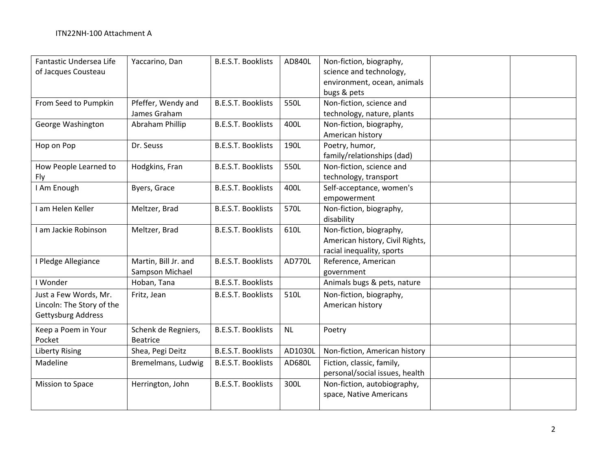| Fantastic Undersea Life<br>of Jacques Cousteau                           | Yaccarino, Dan                          | <b>B.E.S.T. Booklists</b> | AD840L    | Non-fiction, biography,<br>science and technology,<br>environment, ocean, animals<br>bugs & pets |  |
|--------------------------------------------------------------------------|-----------------------------------------|---------------------------|-----------|--------------------------------------------------------------------------------------------------|--|
| From Seed to Pumpkin                                                     | Pfeffer, Wendy and<br>James Graham      | <b>B.E.S.T. Booklists</b> | 550L      | Non-fiction, science and<br>technology, nature, plants                                           |  |
| George Washington                                                        | Abraham Phillip                         | <b>B.E.S.T. Booklists</b> | 400L      | Non-fiction, biography,<br>American history                                                      |  |
| Hop on Pop                                                               | Dr. Seuss                               | <b>B.E.S.T. Booklists</b> | 190L      | Poetry, humor,<br>family/relationships (dad)                                                     |  |
| How People Learned to<br>Fly                                             | Hodgkins, Fran                          | <b>B.E.S.T. Booklists</b> | 550L      | Non-fiction, science and<br>technology, transport                                                |  |
| I Am Enough                                                              | Byers, Grace                            | <b>B.E.S.T. Booklists</b> | 400L      | Self-acceptance, women's<br>empowerment                                                          |  |
| I am Helen Keller                                                        | Meltzer, Brad                           | <b>B.E.S.T. Booklists</b> | 570L      | Non-fiction, biography,<br>disability                                                            |  |
| I am Jackie Robinson                                                     | Meltzer, Brad                           | <b>B.E.S.T. Booklists</b> | 610L      | Non-fiction, biography,<br>American history, Civil Rights,<br>racial inequality, sports          |  |
| I Pledge Allegiance                                                      | Martin, Bill Jr. and<br>Sampson Michael | <b>B.E.S.T. Booklists</b> | AD770L    | Reference, American<br>government                                                                |  |
| I Wonder                                                                 | Hoban, Tana                             | <b>B.E.S.T. Booklists</b> |           | Animals bugs & pets, nature                                                                      |  |
| Just a Few Words, Mr.<br>Lincoln: The Story of the<br>Gettysburg Address | Fritz, Jean                             | <b>B.E.S.T. Booklists</b> | 510L      | Non-fiction, biography,<br>American history                                                      |  |
| Keep a Poem in Your<br>Pocket                                            | Schenk de Regniers,<br><b>Beatrice</b>  | <b>B.E.S.T. Booklists</b> | <b>NL</b> | Poetry                                                                                           |  |
| <b>Liberty Rising</b>                                                    | Shea, Pegi Deitz                        | <b>B.E.S.T. Booklists</b> | AD1030L   | Non-fiction, American history                                                                    |  |
| Madeline                                                                 | Bremelmans, Ludwig                      | <b>B.E.S.T. Booklists</b> | AD680L    | Fiction, classic, family,<br>personal/social issues, health                                      |  |
| Mission to Space                                                         | Herrington, John                        | <b>B.E.S.T. Booklists</b> | 300L      | Non-fiction, autobiography,<br>space, Native Americans                                           |  |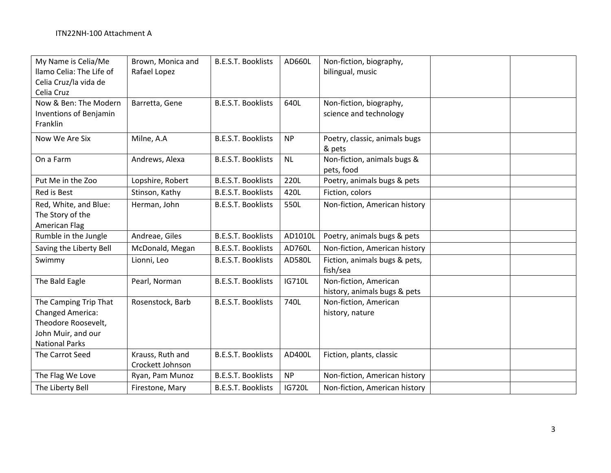| My Name is Celia/Me<br>llamo Celia: The Life of<br>Celia Cruz/la vida de<br>Celia Cruz                                 | Brown, Monica and<br>Rafael Lopez    | <b>B.E.S.T. Booklists</b> | AD660L        | Non-fiction, biography,<br>bilingual, music           |  |
|------------------------------------------------------------------------------------------------------------------------|--------------------------------------|---------------------------|---------------|-------------------------------------------------------|--|
| Now & Ben: The Modern<br><b>Inventions of Benjamin</b><br>Franklin                                                     | Barretta, Gene                       | <b>B.E.S.T. Booklists</b> | 640L          | Non-fiction, biography,<br>science and technology     |  |
| Now We Are Six                                                                                                         | Milne, A.A                           | <b>B.E.S.T. Booklists</b> | <b>NP</b>     | Poetry, classic, animals bugs<br>& pets               |  |
| On a Farm                                                                                                              | Andrews, Alexa                       | <b>B.E.S.T. Booklists</b> | <b>NL</b>     | Non-fiction, animals bugs &<br>pets, food             |  |
| Put Me in the Zoo                                                                                                      | Lopshire, Robert                     | <b>B.E.S.T. Booklists</b> | 220L          | Poetry, animals bugs & pets                           |  |
| Red is Best                                                                                                            | Stinson, Kathy                       | <b>B.E.S.T. Booklists</b> | 420L          | Fiction, colors                                       |  |
| Red, White, and Blue:<br>The Story of the<br>American Flag                                                             | Herman, John                         | <b>B.E.S.T. Booklists</b> | 550L          | Non-fiction, American history                         |  |
| Rumble in the Jungle                                                                                                   | Andreae, Giles                       | <b>B.E.S.T. Booklists</b> | AD1010L       | Poetry, animals bugs & pets                           |  |
| Saving the Liberty Bell                                                                                                | McDonald, Megan                      | <b>B.E.S.T. Booklists</b> | AD760L        | Non-fiction, American history                         |  |
| Swimmy                                                                                                                 | Lionni, Leo                          | <b>B.E.S.T. Booklists</b> | AD580L        | Fiction, animals bugs & pets,<br>fish/sea             |  |
| The Bald Eagle                                                                                                         | Pearl, Norman                        | <b>B.E.S.T. Booklists</b> | <b>IG710L</b> | Non-fiction, American<br>history, animals bugs & pets |  |
| The Camping Trip That<br><b>Changed America:</b><br>Theodore Roosevelt,<br>John Muir, and our<br><b>National Parks</b> | Rosenstock, Barb                     | <b>B.E.S.T. Booklists</b> | 740L          | Non-fiction, American<br>history, nature              |  |
| The Carrot Seed                                                                                                        | Krauss, Ruth and<br>Crockett Johnson | <b>B.E.S.T. Booklists</b> | AD400L        | Fiction, plants, classic                              |  |
| The Flag We Love                                                                                                       | Ryan, Pam Munoz                      | <b>B.E.S.T. Booklists</b> | <b>NP</b>     | Non-fiction, American history                         |  |
| The Liberty Bell                                                                                                       | Firestone, Mary                      | <b>B.E.S.T. Booklists</b> | <b>IG720L</b> | Non-fiction, American history                         |  |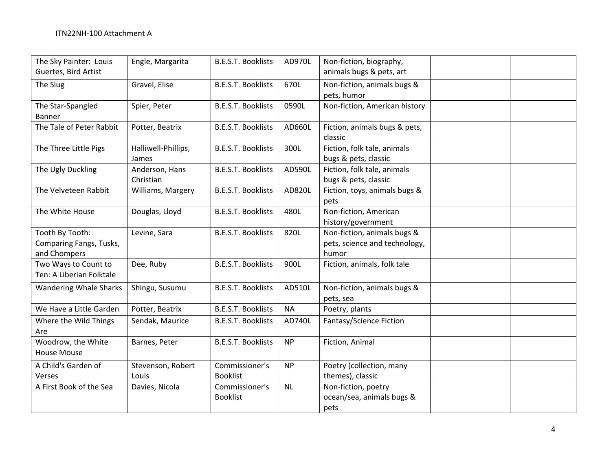| The Sky Painter: Louis<br>Guertes, Bird Artist             | Engle, Margarita             | <b>B.E.S.T. Booklists</b>         | AD970L    | Non-fiction, biography,<br>animals bugs & pets, art                   |  |
|------------------------------------------------------------|------------------------------|-----------------------------------|-----------|-----------------------------------------------------------------------|--|
| The Slug                                                   | Gravel, Elise                | <b>B.E.S.T. Booklists</b>         | 670L      | Non-fiction, animals bugs &<br>pets, humor                            |  |
| The Star-Spangled<br><b>Banner</b>                         | Spier, Peter                 | <b>B.E.S.T. Booklists</b>         | 0590L     | Non-fiction, American history                                         |  |
| The Tale of Peter Rabbit                                   | Potter, Beatrix              | <b>B.E.S.T. Booklists</b>         | AD660L    | Fiction, animals bugs & pets,<br>classic                              |  |
| The Three Little Pigs                                      | Halliwell-Phillips,<br>James | <b>B.E.S.T. Booklists</b>         | 300L      | Fiction, folk tale, animals<br>bugs & pets, classic                   |  |
| The Ugly Duckling                                          | Anderson, Hans<br>Christian  | <b>B.E.S.T. Booklists</b>         | AD590L    | Fiction, folk tale, animals<br>bugs & pets, classic                   |  |
| The Velveteen Rabbit                                       | Williams, Margery            | <b>B.E.S.T. Booklists</b>         | AD820L    | Fiction, toys, animals bugs &<br>pets                                 |  |
| The White House                                            | Douglas, Lloyd               | <b>B.E.S.T. Booklists</b>         | 480L      | Non-fiction, American<br>history/government                           |  |
| Tooth By Tooth:<br>Comparing Fangs, Tusks,<br>and Chompers | Levine, Sara                 | <b>B.E.S.T. Booklists</b>         | 820L      | Non-fiction, animals bugs &<br>pets, science and technology,<br>humor |  |
| Two Ways to Count to<br>Ten: A Liberian Folktale           | Dee, Ruby                    | <b>B.E.S.T. Booklists</b>         | 900L      | Fiction, animals, folk tale                                           |  |
| <b>Wandering Whale Sharks</b>                              | Shingu, Susumu               | <b>B.E.S.T. Booklists</b>         | AD510L    | Non-fiction, animals bugs &<br>pets, sea                              |  |
| We Have a Little Garden                                    | Potter, Beatrix              | <b>B.E.S.T. Booklists</b>         | <b>NA</b> | Poetry, plants                                                        |  |
| Where the Wild Things<br>Are                               | Sendak, Maurice              | <b>B.E.S.T. Booklists</b>         | AD740L    | Fantasy/Science Fiction                                               |  |
| Woodrow, the White<br><b>House Mouse</b>                   | Barnes, Peter                | <b>B.E.S.T. Booklists</b>         | <b>NP</b> | Fiction, Animal                                                       |  |
| A Child's Garden of<br>Verses                              | Stevenson, Robert<br>Louis   | Commissioner's<br><b>Booklist</b> | <b>NP</b> | Poetry (collection, many<br>themes), classic                          |  |
| A First Book of the Sea                                    | Davies, Nicola               | Commissioner's<br><b>Booklist</b> | <b>NL</b> | Non-fiction, poetry<br>ocean/sea, animals bugs &<br>pets              |  |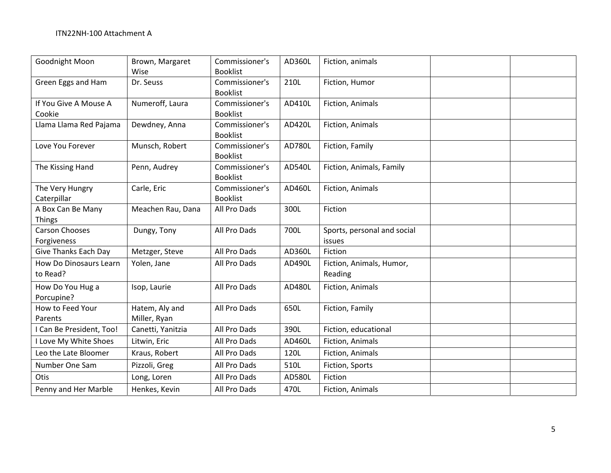| Goodnight Moon                | Brown, Margaret   | Commissioner's  | AD360L | Fiction, animals            |  |
|-------------------------------|-------------------|-----------------|--------|-----------------------------|--|
|                               | Wise              | <b>Booklist</b> |        |                             |  |
| Green Eggs and Ham            | Dr. Seuss         | Commissioner's  | 210L   | Fiction, Humor              |  |
|                               |                   | <b>Booklist</b> |        |                             |  |
| If You Give A Mouse A         | Numeroff, Laura   | Commissioner's  | AD410L | Fiction, Animals            |  |
| Cookie                        |                   | <b>Booklist</b> |        |                             |  |
| Llama Llama Red Pajama        | Dewdney, Anna     | Commissioner's  | AD420L | Fiction, Animals            |  |
|                               |                   | <b>Booklist</b> |        |                             |  |
| Love You Forever              | Munsch, Robert    | Commissioner's  | AD780L | Fiction, Family             |  |
|                               |                   | <b>Booklist</b> |        |                             |  |
| The Kissing Hand              | Penn, Audrey      | Commissioner's  | AD540L | Fiction, Animals, Family    |  |
|                               |                   | <b>Booklist</b> |        |                             |  |
| The Very Hungry               | Carle, Eric       | Commissioner's  | AD460L | Fiction, Animals            |  |
| Caterpillar                   |                   | <b>Booklist</b> |        |                             |  |
| A Box Can Be Many             | Meachen Rau, Dana | All Pro Dads    | 300L   | Fiction                     |  |
| <b>Things</b>                 |                   |                 |        |                             |  |
| <b>Carson Chooses</b>         | Dungy, Tony       | All Pro Dads    | 700L   | Sports, personal and social |  |
| Forgiveness                   |                   |                 |        | issues                      |  |
| Give Thanks Each Day          | Metzger, Steve    | All Pro Dads    | AD360L | Fiction                     |  |
| <b>How Do Dinosaurs Learn</b> | Yolen, Jane       | All Pro Dads    | AD490L | Fiction, Animals, Humor,    |  |
| to Read?                      |                   |                 |        | Reading                     |  |
| How Do You Hug a              | Isop, Laurie      | All Pro Dads    | AD480L | Fiction, Animals            |  |
| Porcupine?                    |                   |                 |        |                             |  |
| How to Feed Your              | Hatem, Aly and    | All Pro Dads    | 650L   | Fiction, Family             |  |
| Parents                       | Miller, Ryan      |                 |        |                             |  |
| I Can Be President, Too!      | Canetti, Yanitzia | All Pro Dads    | 390L   | Fiction, educational        |  |
| I Love My White Shoes         | Litwin, Eric      | All Pro Dads    | AD460L | Fiction, Animals            |  |
| Leo the Late Bloomer          | Kraus, Robert     | All Pro Dads    | 120L   | Fiction, Animals            |  |
| Number One Sam                | Pizzoli, Greg     | All Pro Dads    | 510L   | Fiction, Sports             |  |
| Otis                          | Long, Loren       | All Pro Dads    | AD580L | Fiction                     |  |
| Penny and Her Marble          | Henkes, Kevin     | All Pro Dads    | 470L   | Fiction, Animals            |  |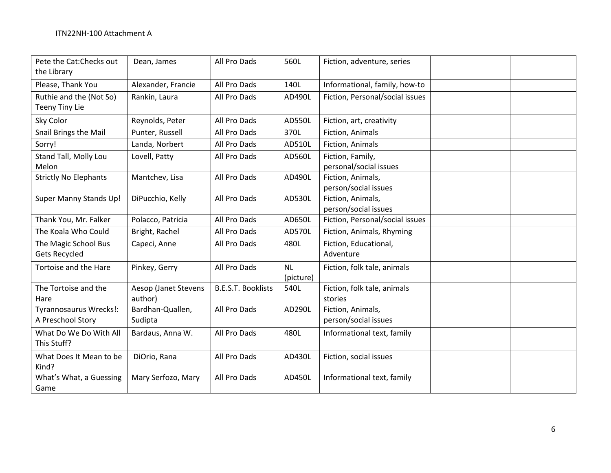| Pete the Cat: Checks out<br>the Library      | Dean, James                     | All Pro Dads              | 560L                   | Fiction, adventure, series                 |
|----------------------------------------------|---------------------------------|---------------------------|------------------------|--------------------------------------------|
| Please, Thank You                            | Alexander, Francie              | All Pro Dads              | 140L                   | Informational, family, how-to              |
| Ruthie and the (Not So)<br>Teeny Tiny Lie    | Rankin, Laura                   | All Pro Dads              | AD490L                 | Fiction, Personal/social issues            |
| Sky Color                                    | Reynolds, Peter                 | All Pro Dads              | AD550L                 | Fiction, art, creativity                   |
| Snail Brings the Mail                        | Punter, Russell                 | All Pro Dads              | 370L                   | Fiction, Animals                           |
| Sorry!                                       | Landa, Norbert                  | All Pro Dads              | AD510L                 | Fiction, Animals                           |
| Stand Tall, Molly Lou<br>Melon               | Lovell, Patty                   | All Pro Dads              | AD560L                 | Fiction, Family,<br>personal/social issues |
| <b>Strictly No Elephants</b>                 | Mantchev, Lisa                  | All Pro Dads              | AD490L                 | Fiction, Animals,<br>person/social issues  |
| Super Manny Stands Up!                       | DiPucchio, Kelly                | All Pro Dads              | AD530L                 | Fiction, Animals,<br>person/social issues  |
| Thank You, Mr. Falker                        | Polacco, Patricia               | All Pro Dads              | AD650L                 | Fiction, Personal/social issues            |
| The Koala Who Could                          | Bright, Rachel                  | All Pro Dads              | AD570L                 | Fiction, Animals, Rhyming                  |
| The Magic School Bus<br><b>Gets Recycled</b> | Capeci, Anne                    | All Pro Dads              | 480L                   | Fiction, Educational,<br>Adventure         |
| Tortoise and the Hare                        | Pinkey, Gerry                   | All Pro Dads              | <b>NL</b><br>(picture) | Fiction, folk tale, animals                |
| The Tortoise and the<br>Hare                 | Aesop (Janet Stevens<br>author) | <b>B.E.S.T. Booklists</b> | 540L                   | Fiction, folk tale, animals<br>stories     |
| Tyrannosaurus Wrecks!:<br>A Preschool Story  | Bardhan-Quallen,<br>Sudipta     | All Pro Dads              | AD290L                 | Fiction, Animals,<br>person/social issues  |
| What Do We Do With All<br>This Stuff?        | Bardaus, Anna W.                | All Pro Dads              | 480L                   | Informational text, family                 |
| What Does It Mean to be<br>Kind?             | DiOrio, Rana                    | All Pro Dads              | AD430L                 | Fiction, social issues                     |
| What's What, a Guessing<br>Game              | Mary Serfozo, Mary              | All Pro Dads              | AD450L                 | Informational text, family                 |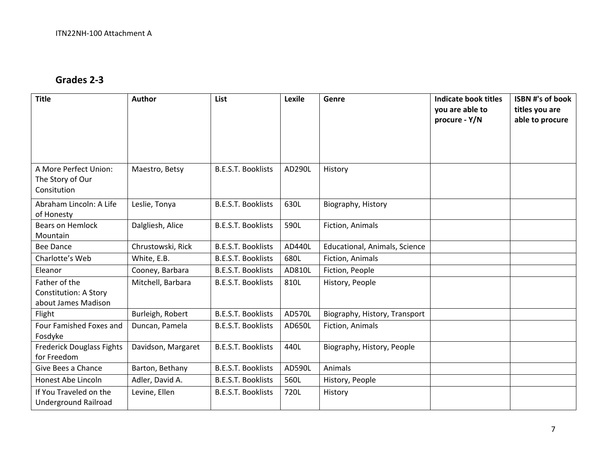### **Grades 2‐3**

| <b>Title</b>                                                         | <b>Author</b>      | <b>List</b>               | Lexile | Genre                         | <b>Indicate book titles</b><br>you are able to<br>procure - Y/N | <b>ISBN #'s of book</b><br>titles you are<br>able to procure |
|----------------------------------------------------------------------|--------------------|---------------------------|--------|-------------------------------|-----------------------------------------------------------------|--------------------------------------------------------------|
| A More Perfect Union:<br>The Story of Our<br>Consitution             | Maestro, Betsy     | <b>B.E.S.T. Booklists</b> | AD290L | History                       |                                                                 |                                                              |
| Abraham Lincoln: A Life<br>of Honesty                                | Leslie, Tonya      | <b>B.E.S.T. Booklists</b> | 630L   | Biography, History            |                                                                 |                                                              |
| Bears on Hemlock<br>Mountain                                         | Dalgliesh, Alice   | <b>B.E.S.T. Booklists</b> | 590L   | Fiction, Animals              |                                                                 |                                                              |
| Bee Dance                                                            | Chrustowski, Rick  | <b>B.E.S.T. Booklists</b> | AD440L | Educational, Animals, Science |                                                                 |                                                              |
| Charlotte's Web                                                      | White, E.B.        | <b>B.E.S.T. Booklists</b> | 680L   | Fiction, Animals              |                                                                 |                                                              |
| Eleanor                                                              | Cooney, Barbara    | <b>B.E.S.T. Booklists</b> | AD810L | Fiction, People               |                                                                 |                                                              |
| Father of the<br><b>Constitution: A Story</b><br>about James Madison | Mitchell, Barbara  | <b>B.E.S.T. Booklists</b> | 810L   | History, People               |                                                                 |                                                              |
| Flight                                                               | Burleigh, Robert   | <b>B.E.S.T. Booklists</b> | AD570L | Biography, History, Transport |                                                                 |                                                              |
| Four Famished Foxes and<br>Fosdyke                                   | Duncan, Pamela     | <b>B.E.S.T. Booklists</b> | AD650L | Fiction, Animals              |                                                                 |                                                              |
| <b>Frederick Douglass Fights</b><br>for Freedom                      | Davidson, Margaret | <b>B.E.S.T. Booklists</b> | 440L   | Biography, History, People    |                                                                 |                                                              |
| Give Bees a Chance                                                   | Barton, Bethany    | <b>B.E.S.T. Booklists</b> | AD590L | Animals                       |                                                                 |                                                              |
| Honest Abe Lincoln                                                   | Adler, David A.    | <b>B.E.S.T. Booklists</b> | 560L   | History, People               |                                                                 |                                                              |
| If You Traveled on the<br>Underground Railroad                       | Levine, Ellen      | <b>B.E.S.T. Booklists</b> | 720L   | History                       |                                                                 |                                                              |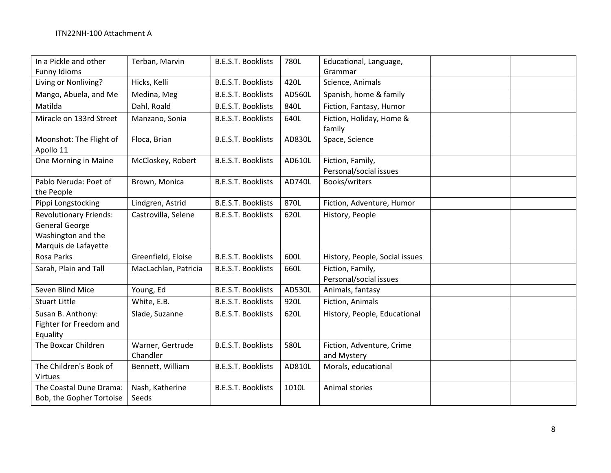| In a Pickle and other                                                                                | Terban, Marvin               | <b>B.E.S.T. Booklists</b> | 780L   | Educational, Language,                     |  |
|------------------------------------------------------------------------------------------------------|------------------------------|---------------------------|--------|--------------------------------------------|--|
| <b>Funny Idioms</b>                                                                                  |                              |                           |        | Grammar                                    |  |
| Living or Nonliving?                                                                                 | Hicks, Kelli                 | <b>B.E.S.T. Booklists</b> | 420L   | Science, Animals                           |  |
| Mango, Abuela, and Me                                                                                | Medina, Meg                  | <b>B.E.S.T. Booklists</b> | AD560L | Spanish, home & family                     |  |
| Matilda                                                                                              | Dahl, Roald                  | <b>B.E.S.T. Booklists</b> | 840L   | Fiction, Fantasy, Humor                    |  |
| Miracle on 133rd Street                                                                              | Manzano, Sonia               | <b>B.E.S.T. Booklists</b> | 640L   | Fiction, Holiday, Home &<br>family         |  |
| Moonshot: The Flight of<br>Apollo 11                                                                 | Floca, Brian                 | <b>B.E.S.T. Booklists</b> | AD830L | Space, Science                             |  |
| One Morning in Maine                                                                                 | McCloskey, Robert            | <b>B.E.S.T. Booklists</b> | AD610L | Fiction, Family,<br>Personal/social issues |  |
| Pablo Neruda: Poet of<br>the People                                                                  | Brown, Monica                | <b>B.E.S.T. Booklists</b> | AD740L | Books/writers                              |  |
| Pippi Longstocking                                                                                   | Lindgren, Astrid             | <b>B.E.S.T. Booklists</b> | 870L   | Fiction, Adventure, Humor                  |  |
| <b>Revolutionary Friends:</b><br><b>General George</b><br>Washington and the<br>Marquis de Lafayette | Castrovilla, Selene          | <b>B.E.S.T. Booklists</b> | 620L   | History, People                            |  |
| Rosa Parks                                                                                           | Greenfield, Eloise           | <b>B.E.S.T. Booklists</b> | 600L   | History, People, Social issues             |  |
| Sarah, Plain and Tall                                                                                | MacLachlan, Patricia         | <b>B.E.S.T. Booklists</b> | 660L   | Fiction, Family,<br>Personal/social issues |  |
| Seven Blind Mice                                                                                     | Young, Ed                    | <b>B.E.S.T. Booklists</b> | AD530L | Animals, fantasy                           |  |
| <b>Stuart Little</b>                                                                                 | White, E.B.                  | <b>B.E.S.T. Booklists</b> | 920L   | Fiction, Animals                           |  |
| Susan B. Anthony:<br>Fighter for Freedom and<br>Equality                                             | Slade, Suzanne               | <b>B.E.S.T. Booklists</b> | 620L   | History, People, Educational               |  |
| The Boxcar Children                                                                                  | Warner, Gertrude<br>Chandler | <b>B.E.S.T. Booklists</b> | 580L   | Fiction, Adventure, Crime<br>and Mystery   |  |
| The Children's Book of<br>Virtues                                                                    | Bennett, William             | <b>B.E.S.T. Booklists</b> | AD810L | Morals, educational                        |  |
| The Coastal Dune Drama:<br>Bob, the Gopher Tortoise                                                  | Nash, Katherine<br>Seeds     | <b>B.E.S.T. Booklists</b> | 1010L  | Animal stories                             |  |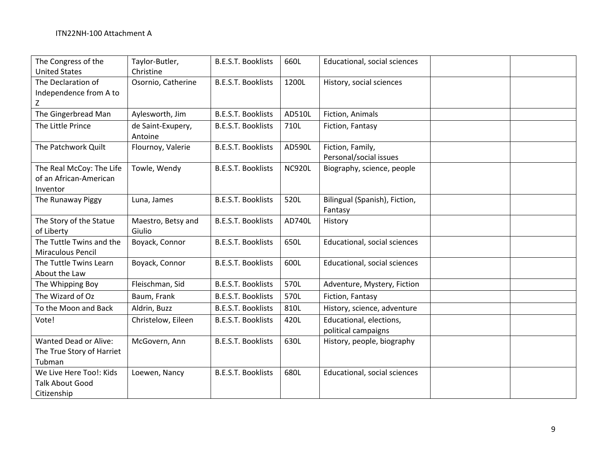| The Congress of the          | Taylor-Butler,     | <b>B.E.S.T. Booklists</b> | 660L          | Educational, social sciences        |  |
|------------------------------|--------------------|---------------------------|---------------|-------------------------------------|--|
| <b>United States</b>         | Christine          |                           |               |                                     |  |
| The Declaration of           | Osornio, Catherine | <b>B.E.S.T. Booklists</b> | 1200L         | History, social sciences            |  |
| Independence from A to       |                    |                           |               |                                     |  |
| Z                            |                    |                           |               |                                     |  |
| The Gingerbread Man          | Aylesworth, Jim    | <b>B.E.S.T. Booklists</b> | AD510L        | Fiction, Animals                    |  |
| The Little Prince            | de Saint-Exupery,  | <b>B.E.S.T. Booklists</b> | 710L          | Fiction, Fantasy                    |  |
|                              | Antoine            |                           |               |                                     |  |
| The Patchwork Quilt          | Flournoy, Valerie  | <b>B.E.S.T. Booklists</b> | AD590L        | Fiction, Family,                    |  |
|                              |                    |                           |               | Personal/social issues              |  |
| The Real McCoy: The Life     | Towle, Wendy       | <b>B.E.S.T. Booklists</b> | <b>NC920L</b> | Biography, science, people          |  |
| of an African-American       |                    |                           |               |                                     |  |
| Inventor                     |                    |                           |               |                                     |  |
| The Runaway Piggy            | Luna, James        | <b>B.E.S.T. Booklists</b> | 520L          | Bilingual (Spanish), Fiction,       |  |
|                              |                    |                           |               | Fantasy                             |  |
| The Story of the Statue      | Maestro, Betsy and | <b>B.E.S.T. Booklists</b> | AD740L        | History                             |  |
| of Liberty                   | Giulio             |                           |               |                                     |  |
| The Tuttle Twins and the     | Boyack, Connor     | <b>B.E.S.T. Booklists</b> | 650L          | Educational, social sciences        |  |
| Miraculous Pencil            |                    |                           |               |                                     |  |
| The Tuttle Twins Learn       | Boyack, Connor     | <b>B.E.S.T. Booklists</b> | 600L          | <b>Educational, social sciences</b> |  |
| About the Law                |                    |                           |               |                                     |  |
| The Whipping Boy             | Fleischman, Sid    | <b>B.E.S.T. Booklists</b> | 570L          | Adventure, Mystery, Fiction         |  |
| The Wizard of Oz             | Baum, Frank        | <b>B.E.S.T. Booklists</b> | 570L          | Fiction, Fantasy                    |  |
| To the Moon and Back         | Aldrin, Buzz       | <b>B.E.S.T. Booklists</b> | 810L          | History, science, adventure         |  |
| Vote!                        | Christelow, Eileen | <b>B.E.S.T. Booklists</b> | 420L          | Educational, elections,             |  |
|                              |                    |                           |               | political campaigns                 |  |
| <b>Wanted Dead or Alive:</b> | McGovern, Ann      | <b>B.E.S.T. Booklists</b> | 630L          | History, people, biography          |  |
| The True Story of Harriet    |                    |                           |               |                                     |  |
| Tubman                       |                    |                           |               |                                     |  |
| We Live Here Too!: Kids      | Loewen, Nancy      | <b>B.E.S.T. Booklists</b> | 680L          | Educational, social sciences        |  |
| <b>Talk About Good</b>       |                    |                           |               |                                     |  |
| Citizenship                  |                    |                           |               |                                     |  |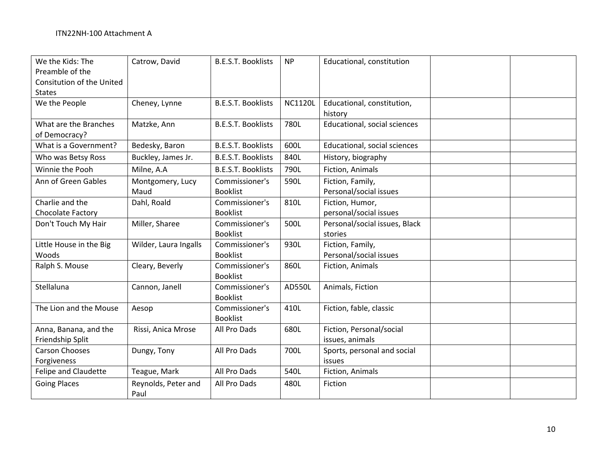| We the Kids: The<br>Preamble of the<br>Consitution of the United<br><b>States</b> | Catrow, David               | <b>B.E.S.T. Booklists</b>         | <b>NP</b>      | Educational, constitution                   |  |
|-----------------------------------------------------------------------------------|-----------------------------|-----------------------------------|----------------|---------------------------------------------|--|
| We the People                                                                     | Cheney, Lynne               | <b>B.E.S.T. Booklists</b>         | <b>NC1120L</b> | Educational, constitution,<br>history       |  |
| What are the Branches<br>of Democracy?                                            | Matzke, Ann                 | <b>B.E.S.T. Booklists</b>         | 780L           | Educational, social sciences                |  |
| What is a Government?                                                             | Bedesky, Baron              | <b>B.E.S.T. Booklists</b>         | 600L           | Educational, social sciences                |  |
| Who was Betsy Ross                                                                | Buckley, James Jr.          | <b>B.E.S.T. Booklists</b>         | 840L           | History, biography                          |  |
| Winnie the Pooh                                                                   | Milne, A.A                  | <b>B.E.S.T. Booklists</b>         | 790L           | Fiction, Animals                            |  |
| Ann of Green Gables                                                               | Montgomery, Lucy<br>Maud    | Commissioner's<br><b>Booklist</b> | 590L           | Fiction, Family,<br>Personal/social issues  |  |
| Charlie and the<br>Chocolate Factory                                              | Dahl, Roald                 | Commissioner's<br><b>Booklist</b> | 810L           | Fiction, Humor,<br>personal/social issues   |  |
| Don't Touch My Hair                                                               | Miller, Sharee              | Commissioner's<br><b>Booklist</b> | 500L           | Personal/social issues, Black<br>stories    |  |
| Little House in the Big<br>Woods                                                  | Wilder, Laura Ingalls       | Commissioner's<br><b>Booklist</b> | 930L           | Fiction, Family,<br>Personal/social issues  |  |
| Ralph S. Mouse                                                                    | Cleary, Beverly             | Commissioner's<br><b>Booklist</b> | 860L           | Fiction, Animals                            |  |
| Stellaluna                                                                        | Cannon, Janell              | Commissioner's<br><b>Booklist</b> | AD550L         | Animals, Fiction                            |  |
| The Lion and the Mouse                                                            | Aesop                       | Commissioner's<br><b>Booklist</b> | 410L           | Fiction, fable, classic                     |  |
| Anna, Banana, and the<br>Friendship Split                                         | Rissi, Anica Mrose          | All Pro Dads                      | 680L           | Fiction, Personal/social<br>issues, animals |  |
| <b>Carson Chooses</b><br>Forgiveness                                              | Dungy, Tony                 | All Pro Dads                      | 700L           | Sports, personal and social<br>issues       |  |
| Felipe and Claudette                                                              | Teague, Mark                | All Pro Dads                      | 540L           | Fiction, Animals                            |  |
| <b>Going Places</b>                                                               | Reynolds, Peter and<br>Paul | All Pro Dads                      | 480L           | Fiction                                     |  |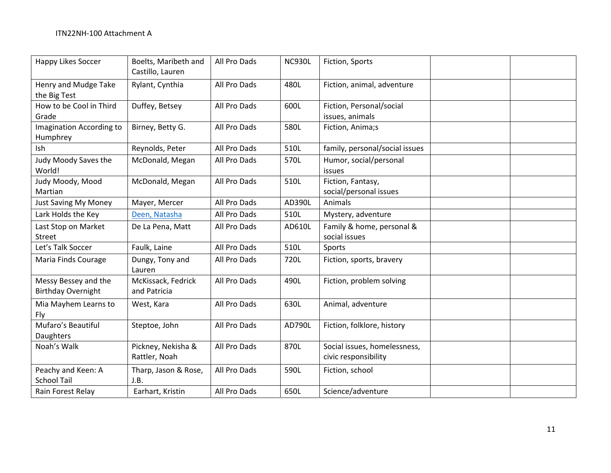| <b>Happy Likes Soccer</b>                         | Boelts, Maribeth and<br>Castillo, Lauren | All Pro Dads | <b>NC930L</b> | Fiction, Sports                                      |  |
|---------------------------------------------------|------------------------------------------|--------------|---------------|------------------------------------------------------|--|
| Henry and Mudge Take<br>the Big Test              | Rylant, Cynthia                          | All Pro Dads | 480L          | Fiction, animal, adventure                           |  |
| How to be Cool in Third<br>Grade                  | Duffey, Betsey                           | All Pro Dads | 600L          | Fiction, Personal/social<br>issues, animals          |  |
| <b>Imagination According to</b><br>Humphrey       | Birney, Betty G.                         | All Pro Dads | 580L          | Fiction, Anima;s                                     |  |
| Ish                                               | Reynolds, Peter                          | All Pro Dads | 510L          | family, personal/social issues                       |  |
| Judy Moody Saves the<br>World!                    | McDonald, Megan                          | All Pro Dads | 570L          | Humor, social/personal<br><b>issues</b>              |  |
| Judy Moody, Mood<br>Martian                       | McDonald, Megan                          | All Pro Dads | 510L          | Fiction, Fantasy,<br>social/personal issues          |  |
| Just Saving My Money                              | Mayer, Mercer                            | All Pro Dads | AD390L        | Animals                                              |  |
| Lark Holds the Key                                | Deen, Natasha                            | All Pro Dads | 510L          | Mystery, adventure                                   |  |
| Last Stop on Market<br>Street                     | De La Pena, Matt                         | All Pro Dads | AD610L        | Family & home, personal &<br>social issues           |  |
| Let's Talk Soccer                                 | Faulk, Laine                             | All Pro Dads | 510L          | Sports                                               |  |
| Maria Finds Courage                               | Dungy, Tony and<br>Lauren                | All Pro Dads | 720L          | Fiction, sports, bravery                             |  |
| Messy Bessey and the<br><b>Birthday Overnight</b> | McKissack, Fedrick<br>and Patricia       | All Pro Dads | 490L          | Fiction, problem solving                             |  |
| Mia Mayhem Learns to<br>Fly                       | West, Kara                               | All Pro Dads | 630L          | Animal, adventure                                    |  |
| Mufaro's Beautiful<br>Daughters                   | Steptoe, John                            | All Pro Dads | AD790L        | Fiction, folklore, history                           |  |
| Noah's Walk                                       | Pickney, Nekisha &<br>Rattler, Noah      | All Pro Dads | 870L          | Social issues, homelessness,<br>civic responsibility |  |
| Peachy and Keen: A<br><b>School Tail</b>          | Tharp, Jason & Rose,<br>J.B.             | All Pro Dads | 590L          | Fiction, school                                      |  |
| Rain Forest Relay                                 | Earhart, Kristin                         | All Pro Dads | 650L          | Science/adventure                                    |  |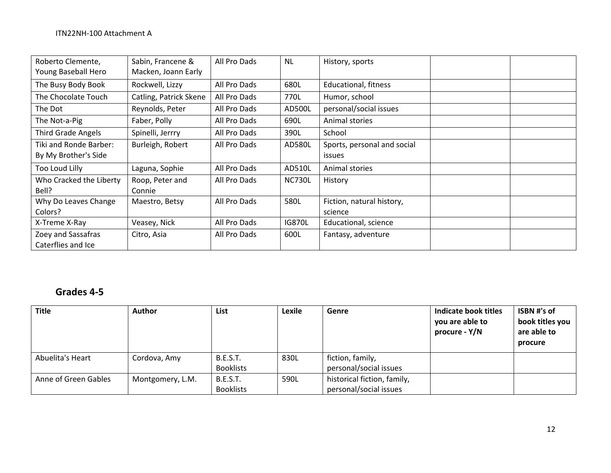| Roberto Clemente,<br>Young Baseball Hero | Sabin, Francene &<br>Macken, Joann Early | All Pro Dads | <b>NL</b>     | History, sports             |  |
|------------------------------------------|------------------------------------------|--------------|---------------|-----------------------------|--|
| The Busy Body Book                       | Rockwell, Lizzy                          | All Pro Dads | 680L          | Educational, fitness        |  |
| The Chocolate Touch                      | Catling, Patrick Skene                   | All Pro Dads | 770L          | Humor, school               |  |
| The Dot                                  | Reynolds, Peter                          | All Pro Dads | AD500L        | personal/social issues      |  |
| The Not-a-Pig                            | Faber, Polly                             | All Pro Dads | 690L          | Animal stories              |  |
| <b>Third Grade Angels</b>                | Spinelli, Jerrry                         | All Pro Dads | 390L          | School                      |  |
| Tiki and Ronde Barber:                   | Burleigh, Robert                         | All Pro Dads | AD580L        | Sports, personal and social |  |
| By My Brother's Side                     |                                          |              |               | <i>issues</i>               |  |
| Too Loud Lilly                           | Laguna, Sophie                           | All Pro Dads | AD510L        | Animal stories              |  |
| Who Cracked the Liberty                  | Roop, Peter and                          | All Pro Dads | <b>NC730L</b> | History                     |  |
| Bell?                                    | Connie                                   |              |               |                             |  |
| Why Do Leaves Change                     | Maestro, Betsy                           | All Pro Dads | 580L          | Fiction, natural history,   |  |
| Colors?                                  |                                          |              |               | science                     |  |
| X-Treme X-Ray                            | Veasey, Nick                             | All Pro Dads | <b>IG870L</b> | Educational, science        |  |
| Zoey and Sassafras                       | Citro, Asia                              | All Pro Dads | 600L          | Fantasy, adventure          |  |
| Caterflies and Ice                       |                                          |              |               |                             |  |

# **Grades 4‐5**

| <b>Title</b>         | Author           | List             | Lexile | Genre                       | Indicate book titles<br>you are able to<br>procure - Y/N | ISBN #'s of<br>book titles you<br>are able to<br>procure |
|----------------------|------------------|------------------|--------|-----------------------------|----------------------------------------------------------|----------------------------------------------------------|
| Abuelita's Heart     | Cordova, Amy     | <b>B.E.S.T.</b>  | 830L   | fiction, family,            |                                                          |                                                          |
|                      |                  | <b>Booklists</b> |        | personal/social issues      |                                                          |                                                          |
| Anne of Green Gables | Montgomery, L.M. | <b>B.E.S.T.</b>  | 590L   | historical fiction, family, |                                                          |                                                          |
|                      |                  | <b>Booklists</b> |        | personal/social issues      |                                                          |                                                          |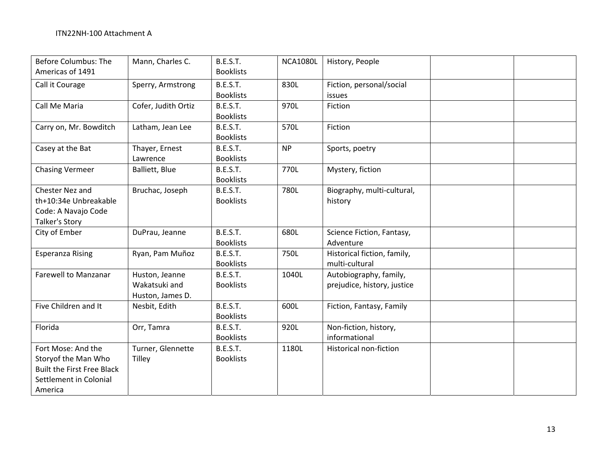| <b>Before Columbus: The</b><br>Americas of 1491                                                                     | Mann, Charles C.                                    | <b>B.E.S.T.</b><br><b>Booklists</b> | <b>NCA1080L</b> | History, People                                       |  |
|---------------------------------------------------------------------------------------------------------------------|-----------------------------------------------------|-------------------------------------|-----------------|-------------------------------------------------------|--|
| Call it Courage                                                                                                     | Sperry, Armstrong                                   | <b>B.E.S.T.</b><br><b>Booklists</b> | 830L            | Fiction, personal/social<br>issues                    |  |
| Call Me Maria                                                                                                       | Cofer, Judith Ortiz                                 | <b>B.E.S.T.</b><br><b>Booklists</b> | 970L            | Fiction                                               |  |
| Carry on, Mr. Bowditch                                                                                              | Latham, Jean Lee                                    | <b>B.E.S.T.</b><br><b>Booklists</b> | 570L            | Fiction                                               |  |
| Casey at the Bat                                                                                                    | Thayer, Ernest<br>Lawrence                          | <b>B.E.S.T.</b><br><b>Booklists</b> | <b>NP</b>       | Sports, poetry                                        |  |
| <b>Chasing Vermeer</b>                                                                                              | Balliett, Blue                                      | <b>B.E.S.T.</b><br><b>Booklists</b> | 770L            | Mystery, fiction                                      |  |
| Chester Nez and<br>th+10:34e Unbreakable<br>Code: A Navajo Code<br>Talker's Story                                   | Bruchac, Joseph                                     | <b>B.E.S.T.</b><br><b>Booklists</b> | 780L            | Biography, multi-cultural,<br>history                 |  |
| City of Ember                                                                                                       | DuPrau, Jeanne                                      | <b>B.E.S.T.</b><br><b>Booklists</b> | 680L            | Science Fiction, Fantasy,<br>Adventure                |  |
| <b>Esperanza Rising</b>                                                                                             | Ryan, Pam Muñoz                                     | <b>B.E.S.T.</b><br><b>Booklists</b> | 750L            | Historical fiction, family,<br>multi-cultural         |  |
| <b>Farewell to Manzanar</b>                                                                                         | Huston, Jeanne<br>Wakatsuki and<br>Huston, James D. | <b>B.E.S.T.</b><br><b>Booklists</b> | 1040L           | Autobiography, family,<br>prejudice, history, justice |  |
| Five Children and It                                                                                                | Nesbit, Edith                                       | <b>B.E.S.T.</b><br><b>Booklists</b> | 600L            | Fiction, Fantasy, Family                              |  |
| Florida                                                                                                             | Orr, Tamra                                          | <b>B.E.S.T.</b><br><b>Booklists</b> | 920L            | Non-fiction, history,<br>informational                |  |
| Fort Mose: And the<br>Storyof the Man Who<br><b>Built the First Free Black</b><br>Settlement in Colonial<br>America | Turner, Glennette<br>Tilley                         | <b>B.E.S.T.</b><br><b>Booklists</b> | 1180L           | <b>Historical non-fiction</b>                         |  |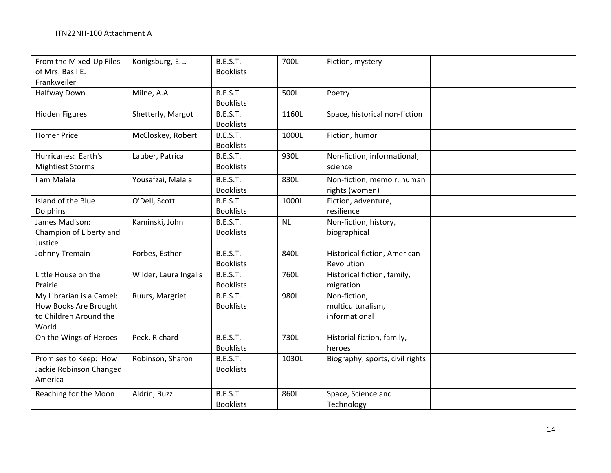| From the Mixed-Up Files<br>of Mrs. Basil E.<br>Frankweiler                           | Konigsburg, E.L.      | <b>B.E.S.T.</b><br><b>Booklists</b> | 700L      | Fiction, mystery                                   |  |
|--------------------------------------------------------------------------------------|-----------------------|-------------------------------------|-----------|----------------------------------------------------|--|
| Halfway Down                                                                         | Milne, A.A            | <b>B.E.S.T.</b><br><b>Booklists</b> | 500L      | Poetry                                             |  |
| <b>Hidden Figures</b>                                                                | Shetterly, Margot     | <b>B.E.S.T.</b><br><b>Booklists</b> | 1160L     | Space, historical non-fiction                      |  |
| <b>Homer Price</b>                                                                   | McCloskey, Robert     | <b>B.E.S.T.</b><br><b>Booklists</b> | 1000L     | Fiction, humor                                     |  |
| Hurricanes: Earth's<br><b>Mightiest Storms</b>                                       | Lauber, Patrica       | <b>B.E.S.T.</b><br><b>Booklists</b> | 930L      | Non-fiction, informational,<br>science             |  |
| I am Malala                                                                          | Yousafzai, Malala     | <b>B.E.S.T.</b><br><b>Booklists</b> | 830L      | Non-fiction, memoir, human<br>rights (women)       |  |
| Island of the Blue<br><b>Dolphins</b>                                                | O'Dell, Scott         | <b>B.E.S.T.</b><br><b>Booklists</b> | 1000L     | Fiction, adventure,<br>resilience                  |  |
| James Madison:<br>Champion of Liberty and<br>Justice                                 | Kaminski, John        | <b>B.E.S.T.</b><br><b>Booklists</b> | <b>NL</b> | Non-fiction, history,<br>biographical              |  |
| Johnny Tremain                                                                       | Forbes, Esther        | <b>B.E.S.T.</b><br><b>Booklists</b> | 840L      | Historical fiction, American<br>Revolution         |  |
| Little House on the<br>Prairie                                                       | Wilder, Laura Ingalls | <b>B.E.S.T.</b><br><b>Booklists</b> | 760L      | Historical fiction, family,<br>migration           |  |
| My Librarian is a Camel:<br>How Books Are Brought<br>to Children Around the<br>World | Ruurs, Margriet       | <b>B.E.S.T.</b><br><b>Booklists</b> | 980L      | Non-fiction,<br>multiculturalism,<br>informational |  |
| On the Wings of Heroes                                                               | Peck, Richard         | <b>B.E.S.T.</b><br><b>Booklists</b> | 730L      | Historial fiction, family,<br>heroes               |  |
| Promises to Keep: How<br>Jackie Robinson Changed<br>America                          | Robinson, Sharon      | <b>B.E.S.T.</b><br><b>Booklists</b> | 1030L     | Biography, sports, civil rights                    |  |
| Reaching for the Moon                                                                | Aldrin, Buzz          | <b>B.E.S.T.</b><br><b>Booklists</b> | 860L      | Space, Science and<br>Technology                   |  |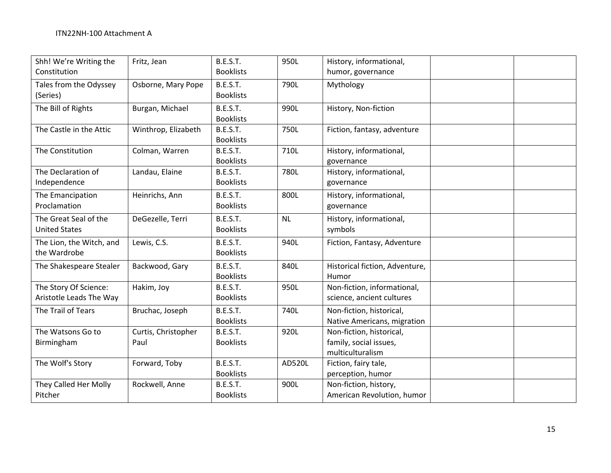| Shh! We're Writing the<br>Constitution           | Fritz, Jean                 | <b>B.E.S.T.</b><br><b>Booklists</b> | 950L      | History, informational,<br>humor, governance                           |  |
|--------------------------------------------------|-----------------------------|-------------------------------------|-----------|------------------------------------------------------------------------|--|
| Tales from the Odyssey<br>(Series)               | Osborne, Mary Pope          | <b>B.E.S.T.</b><br><b>Booklists</b> | 790L      | Mythology                                                              |  |
| The Bill of Rights                               | Burgan, Michael             | <b>B.E.S.T.</b><br><b>Booklists</b> | 990L      | History, Non-fiction                                                   |  |
| The Castle in the Attic                          | Winthrop, Elizabeth         | <b>B.E.S.T.</b><br><b>Booklists</b> | 750L      | Fiction, fantasy, adventure                                            |  |
| The Constitution                                 | Colman, Warren              | <b>B.E.S.T.</b><br><b>Booklists</b> | 710L      | History, informational,<br>governance                                  |  |
| The Declaration of<br>Independence               | Landau, Elaine              | <b>B.E.S.T.</b><br><b>Booklists</b> | 780L      | History, informational,<br>governance                                  |  |
| The Emancipation<br>Proclamation                 | Heinrichs, Ann              | <b>B.E.S.T.</b><br><b>Booklists</b> | 800L      | History, informational,<br>governance                                  |  |
| The Great Seal of the<br><b>United States</b>    | DeGezelle, Terri            | <b>B.E.S.T.</b><br><b>Booklists</b> | <b>NL</b> | History, informational,<br>symbols                                     |  |
| The Lion, the Witch, and<br>the Wardrobe         | Lewis, C.S.                 | <b>B.E.S.T.</b><br><b>Booklists</b> | 940L      | Fiction, Fantasy, Adventure                                            |  |
| The Shakespeare Stealer                          | Backwood, Gary              | <b>B.E.S.T.</b><br><b>Booklists</b> | 840L      | Historical fiction, Adventure,<br>Humor                                |  |
| The Story Of Science:<br>Aristotle Leads The Way | Hakim, Joy                  | <b>B.E.S.T.</b><br><b>Booklists</b> | 950L      | Non-fiction, informational,<br>science, ancient cultures               |  |
| The Trail of Tears                               | Bruchac, Joseph             | <b>B.E.S.T.</b><br><b>Booklists</b> | 740L      | Non-fiction, historical,<br>Native Americans, migration                |  |
| The Watsons Go to<br>Birmingham                  | Curtis, Christopher<br>Paul | <b>B.E.S.T.</b><br><b>Booklists</b> | 920L      | Non-fiction, historical,<br>family, social issues,<br>multiculturalism |  |
| The Wolf's Story                                 | Forward, Toby               | <b>B.E.S.T.</b><br><b>Booklists</b> | AD520L    | Fiction, fairy tale,<br>perception, humor                              |  |
| They Called Her Molly<br>Pitcher                 | Rockwell, Anne              | <b>B.E.S.T.</b><br><b>Booklists</b> | 900L      | Non-fiction, history,<br>American Revolution, humor                    |  |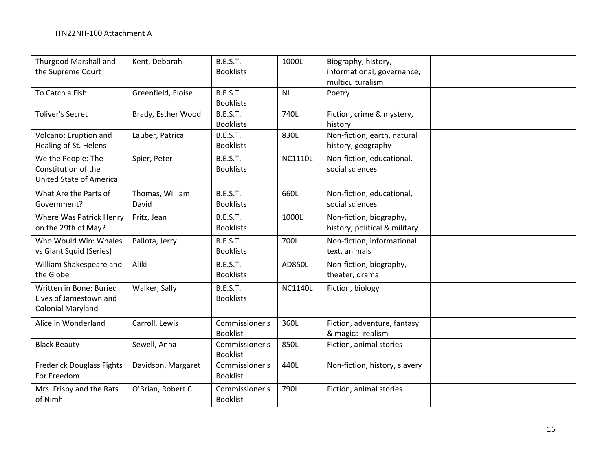| <b>Thurgood Marshall and</b><br>the Supreme Court                             | Kent, Deborah            | <b>B.E.S.T.</b><br><b>Booklists</b> | 1000L          | Biography, history,<br>informational, governance,<br>multiculturalism |  |
|-------------------------------------------------------------------------------|--------------------------|-------------------------------------|----------------|-----------------------------------------------------------------------|--|
| To Catch a Fish                                                               | Greenfield, Eloise       | <b>B.E.S.T.</b><br><b>Booklists</b> | <b>NL</b>      | Poetry                                                                |  |
| <b>Toliver's Secret</b>                                                       | Brady, Esther Wood       | <b>B.E.S.T.</b><br><b>Booklists</b> | 740L           | Fiction, crime & mystery,<br>history                                  |  |
| Volcano: Eruption and<br>Healing of St. Helens                                | Lauber, Patrica          | <b>B.E.S.T.</b><br><b>Booklists</b> | 830L           | Non-fiction, earth, natural<br>history, geography                     |  |
| We the People: The<br>Constitution of the<br><b>United State of America</b>   | Spier, Peter             | <b>B.E.S.T.</b><br><b>Booklists</b> | <b>NC1110L</b> | Non-fiction, educational,<br>social sciences                          |  |
| What Are the Parts of<br>Government?                                          | Thomas, William<br>David | <b>B.E.S.T.</b><br><b>Booklists</b> | 660L           | Non-fiction, educational,<br>social sciences                          |  |
| Where Was Patrick Henry<br>on the 29th of May?                                | Fritz, Jean              | <b>B.E.S.T.</b><br><b>Booklists</b> | 1000L          | Non-fiction, biography,<br>history, political & military              |  |
| Who Would Win: Whales<br>vs Giant Squid (Series)                              | Pallota, Jerry           | <b>B.E.S.T.</b><br><b>Booklists</b> | 700L           | Non-fiction, informational<br>text, animals                           |  |
| William Shakespeare and<br>the Globe                                          | Aliki                    | <b>B.E.S.T.</b><br><b>Booklists</b> | AD850L         | Non-fiction, biography,<br>theater, drama                             |  |
| Written in Bone: Buried<br>Lives of Jamestown and<br><b>Colonial Maryland</b> | Walker, Sally            | <b>B.E.S.T.</b><br><b>Booklists</b> | <b>NC1140L</b> | Fiction, biology                                                      |  |
| Alice in Wonderland                                                           | Carroll, Lewis           | Commissioner's<br><b>Booklist</b>   | 360L           | Fiction, adventure, fantasy<br>& magical realism                      |  |
| <b>Black Beauty</b>                                                           | Sewell, Anna             | Commissioner's<br><b>Booklist</b>   | 850L           | Fiction, animal stories                                               |  |
| <b>Frederick Douglass Fights</b><br>For Freedom                               | Davidson, Margaret       | Commissioner's<br><b>Booklist</b>   | 440L           | Non-fiction, history, slavery                                         |  |
| Mrs. Frisby and the Rats<br>of Nimh                                           | O'Brian, Robert C.       | Commissioner's<br><b>Booklist</b>   | 790L           | Fiction, animal stories                                               |  |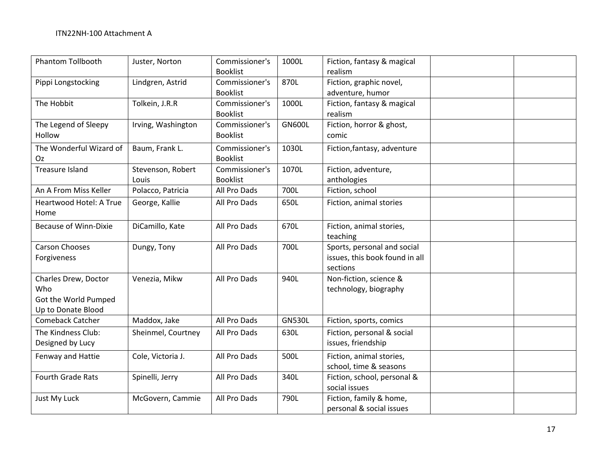| <b>Phantom Tollbooth</b>     | Juster, Norton     | Commissioner's  | 1000L         | Fiction, fantasy & magical     |  |
|------------------------------|--------------------|-----------------|---------------|--------------------------------|--|
|                              |                    | <b>Booklist</b> |               | realism                        |  |
| Pippi Longstocking           | Lindgren, Astrid   | Commissioner's  | 870L          | Fiction, graphic novel,        |  |
|                              |                    | <b>Booklist</b> |               | adventure, humor               |  |
| The Hobbit                   | Tolkein, J.R.R     | Commissioner's  | 1000L         | Fiction, fantasy & magical     |  |
|                              |                    | <b>Booklist</b> |               | realism                        |  |
| The Legend of Sleepy         | Irving, Washington | Commissioner's  | <b>GN600L</b> | Fiction, horror & ghost,       |  |
| Hollow                       |                    | <b>Booklist</b> |               | comic                          |  |
| The Wonderful Wizard of      | Baum, Frank L.     | Commissioner's  | 1030L         | Fiction, fantasy, adventure    |  |
| Oz                           |                    | <b>Booklist</b> |               |                                |  |
| Treasure Island              | Stevenson, Robert  | Commissioner's  | 1070L         | Fiction, adventure,            |  |
|                              | Louis              | <b>Booklist</b> |               | anthologies                    |  |
| An A From Miss Keller        | Polacco, Patricia  | All Pro Dads    | 700L          | Fiction, school                |  |
| Heartwood Hotel: A True      | George, Kallie     | All Pro Dads    | 650L          | Fiction, animal stories        |  |
| Home                         |                    |                 |               |                                |  |
| <b>Because of Winn-Dixie</b> | DiCamillo, Kate    | All Pro Dads    | 670L          | Fiction, animal stories,       |  |
|                              |                    |                 |               | teaching                       |  |
| <b>Carson Chooses</b>        | Dungy, Tony        | All Pro Dads    | 700L          | Sports, personal and social    |  |
| Forgiveness                  |                    |                 |               | issues, this book found in all |  |
|                              |                    |                 |               | sections                       |  |
| Charles Drew, Doctor         | Venezia, Mikw      | All Pro Dads    | 940L          | Non-fiction, science &         |  |
| Who                          |                    |                 |               | technology, biography          |  |
| Got the World Pumped         |                    |                 |               |                                |  |
| Up to Donate Blood           |                    |                 |               |                                |  |
| Comeback Catcher             | Maddox, Jake       | All Pro Dads    | <b>GN530L</b> | Fiction, sports, comics        |  |
| The Kindness Club:           | Sheinmel, Courtney | All Pro Dads    | 630L          | Fiction, personal & social     |  |
| Designed by Lucy             |                    |                 |               | issues, friendship             |  |
| Fenway and Hattie            | Cole, Victoria J.  | All Pro Dads    | 500L          | Fiction, animal stories,       |  |
|                              |                    |                 |               | school, time & seasons         |  |
| <b>Fourth Grade Rats</b>     | Spinelli, Jerry    | All Pro Dads    | 340L          | Fiction, school, personal &    |  |
|                              |                    |                 |               | social issues                  |  |
| Just My Luck                 | McGovern, Cammie   | All Pro Dads    | 790L          | Fiction, family & home,        |  |
|                              |                    |                 |               | personal & social issues       |  |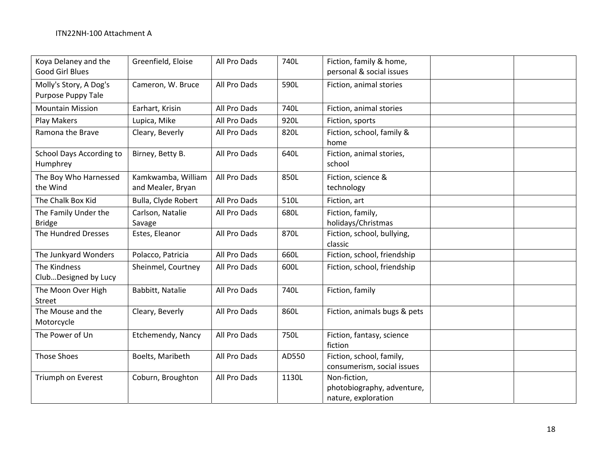| Koya Delaney and the<br>Good Girl Blues      | Greenfield, Eloise                      | All Pro Dads | 740L  | Fiction, family & home,<br>personal & social issues               |
|----------------------------------------------|-----------------------------------------|--------------|-------|-------------------------------------------------------------------|
| Molly's Story, A Dog's<br>Purpose Puppy Tale | Cameron, W. Bruce                       | All Pro Dads | 590L  | Fiction, animal stories                                           |
| <b>Mountain Mission</b>                      | Earhart, Krisin                         | All Pro Dads | 740L  | Fiction, animal stories                                           |
| Play Makers                                  | Lupica, Mike                            | All Pro Dads | 920L  | Fiction, sports                                                   |
| Ramona the Brave                             | Cleary, Beverly                         | All Pro Dads | 820L  | Fiction, school, family &<br>home                                 |
| School Days According to<br>Humphrey         | Birney, Betty B.                        | All Pro Dads | 640L  | Fiction, animal stories,<br>school                                |
| The Boy Who Harnessed<br>the Wind            | Kamkwamba, William<br>and Mealer, Bryan | All Pro Dads | 850L  | Fiction, science &<br>technology                                  |
| The Chalk Box Kid                            | Bulla, Clyde Robert                     | All Pro Dads | 510L  | Fiction, art                                                      |
| The Family Under the<br><b>Bridge</b>        | Carlson, Natalie<br>Savage              | All Pro Dads | 680L  | Fiction, family,<br>holidays/Christmas                            |
| The Hundred Dresses                          | Estes, Eleanor                          | All Pro Dads | 870L  | Fiction, school, bullying,<br>classic                             |
| The Junkyard Wonders                         | Polacco, Patricia                       | All Pro Dads | 660L  | Fiction, school, friendship                                       |
| The Kindness<br>ClubDesigned by Lucy         | Sheinmel, Courtney                      | All Pro Dads | 600L  | Fiction, school, friendship                                       |
| The Moon Over High<br>Street                 | Babbitt, Natalie                        | All Pro Dads | 740L  | Fiction, family                                                   |
| The Mouse and the<br>Motorcycle              | Cleary, Beverly                         | All Pro Dads | 860L  | Fiction, animals bugs & pets                                      |
| The Power of Un                              | Etchemendy, Nancy                       | All Pro Dads | 750L  | Fiction, fantasy, science<br>fiction                              |
| <b>Those Shoes</b>                           | Boelts, Maribeth                        | All Pro Dads | AD550 | Fiction, school, family,<br>consumerism, social issues            |
| Triumph on Everest                           | Coburn, Broughton                       | All Pro Dads | 1130L | Non-fiction,<br>photobiography, adventure,<br>nature, exploration |